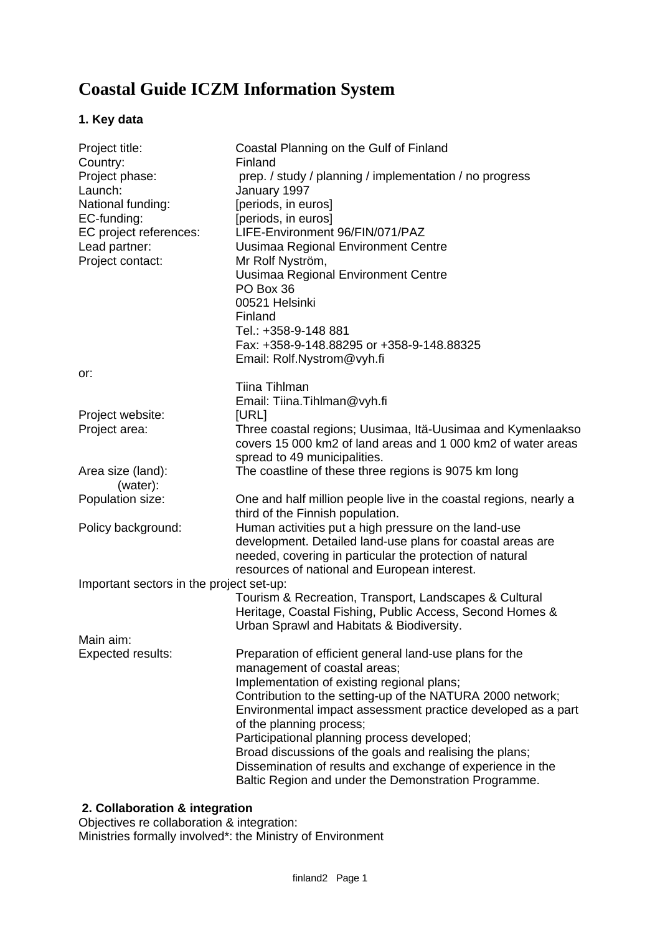# **Coastal Guide ICZM Information System**

## **1. Key data**

| Project title:                           | Coastal Planning on the Gulf of Finland                                                                                     |
|------------------------------------------|-----------------------------------------------------------------------------------------------------------------------------|
| Country:<br>Project phase:               | Finland<br>prep. / study / planning / implementation / no progress                                                          |
| Launch:                                  | January 1997                                                                                                                |
| National funding:                        | [periods, in euros]                                                                                                         |
| EC-funding:                              | [periods, in euros]                                                                                                         |
| EC project references:                   | LIFE-Environment 96/FIN/071/PAZ                                                                                             |
| Lead partner:                            | Uusimaa Regional Environment Centre                                                                                         |
| Project contact:                         | Mr Rolf Nyström,                                                                                                            |
|                                          | Uusimaa Regional Environment Centre                                                                                         |
|                                          | PO Box 36                                                                                                                   |
|                                          | 00521 Helsinki                                                                                                              |
|                                          | Finland                                                                                                                     |
|                                          | Tel.: +358-9-148 881                                                                                                        |
|                                          | Fax: +358-9-148.88295 or +358-9-148.88325                                                                                   |
|                                          | Email: Rolf.Nystrom@vyh.fi                                                                                                  |
| or:                                      |                                                                                                                             |
|                                          | Tiina Tihlman                                                                                                               |
|                                          | Email: Tiina. Tihlman@vyh.fi                                                                                                |
| Project website:                         | [URL]                                                                                                                       |
| Project area:                            | Three coastal regions; Uusimaa, Itä-Uusimaa and Kymenlaakso<br>covers 15 000 km2 of land areas and 1 000 km2 of water areas |
|                                          | spread to 49 municipalities.                                                                                                |
| Area size (land):                        | The coastline of these three regions is 9075 km long                                                                        |
| (water):                                 |                                                                                                                             |
| Population size:                         | One and half million people live in the coastal regions, nearly a                                                           |
|                                          | third of the Finnish population.                                                                                            |
| Policy background:                       | Human activities put a high pressure on the land-use                                                                        |
|                                          | development. Detailed land-use plans for coastal areas are                                                                  |
|                                          | needed, covering in particular the protection of natural                                                                    |
|                                          | resources of national and European interest.                                                                                |
| Important sectors in the project set-up: |                                                                                                                             |
|                                          | Tourism & Recreation, Transport, Landscapes & Cultural                                                                      |
|                                          | Heritage, Coastal Fishing, Public Access, Second Homes &<br>Urban Sprawl and Habitats & Biodiversity.                       |
| Main aim:                                |                                                                                                                             |
| <b>Expected results:</b>                 | Preparation of efficient general land-use plans for the                                                                     |
|                                          | management of coastal areas;                                                                                                |
|                                          | Implementation of existing regional plans;                                                                                  |
|                                          | Contribution to the setting-up of the NATURA 2000 network;                                                                  |
|                                          | Environmental impact assessment practice developed as a part                                                                |
|                                          | of the planning process;                                                                                                    |
|                                          | Participational planning process developed;                                                                                 |
|                                          | Broad discussions of the goals and realising the plans;                                                                     |
|                                          | Dissemination of results and exchange of experience in the                                                                  |
|                                          | Baltic Region and under the Demonstration Programme.                                                                        |
|                                          |                                                                                                                             |

#### **2. Collaboration & integration**

Objectives re collaboration & integration: Ministries formally involved\*: the Ministry of Environment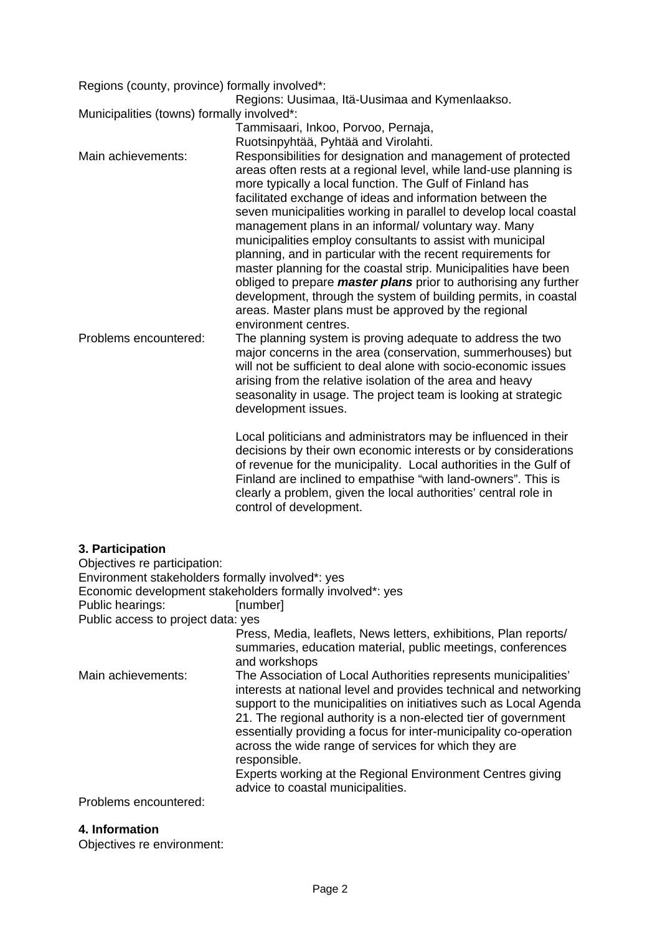Regions (county, province) formally involved\*:

Regions: Uusimaa, Itä-Uusimaa and Kymenlaakso.

Municipalities (towns) formally involved\*:

Tammisaari, Inkoo, Porvoo, Pernaja, Ruotsinpyhtää, Pyhtää and Virolahti. Main achievements: Responsibilities for designation and management of protected areas often rests at a regional level, while land-use planning is more typically a local function. The Gulf of Finland has facilitated exchange of ideas and information between the seven municipalities working in parallel to develop local coastal management plans in an informal/ voluntary way. Many municipalities employ consultants to assist with municipal planning, and in particular with the recent requirements for master planning for the coastal strip. Municipalities have been obliged to prepare *master plans* prior to authorising any further development, through the system of building permits, in coastal areas. Master plans must be approved by the regional environment centres. Problems encountered: The planning system is proving adequate to address the two

major concerns in the area (conservation, summerhouses) but will not be sufficient to deal alone with socio-economic issues arising from the relative isolation of the area and heavy seasonality in usage. The project team is looking at strategic development issues.

> Local politicians and administrators may be influenced in their decisions by their own economic interests or by considerations of revenue for the municipality. Local authorities in the Gulf of Finland are inclined to empathise "with land-owners". This is clearly a problem, given the local authorities' central role in control of development.

## **3. Participation**

Objectives re participation: Environment stakeholders formally involved\*: yes Economic development stakeholders formally involved\*: yes Public hearings: [number] Public access to project data: yes Press, Media, leaflets, News letters, exhibitions, Plan reports/ summaries, education material, public meetings, conferences and workshops Main achievements: The Association of Local Authorities represents municipalities' interests at national level and provides technical and networking support to the municipalities on initiatives such as Local Agenda 21. The regional authority is a non-elected tier of government essentially providing a focus for inter-municipality co-operation across the wide range of services for which they are responsible. Experts working at the Regional Environment Centres giving advice to coastal municipalities.

Problems encountered:

#### **4. Information**

Objectives re environment: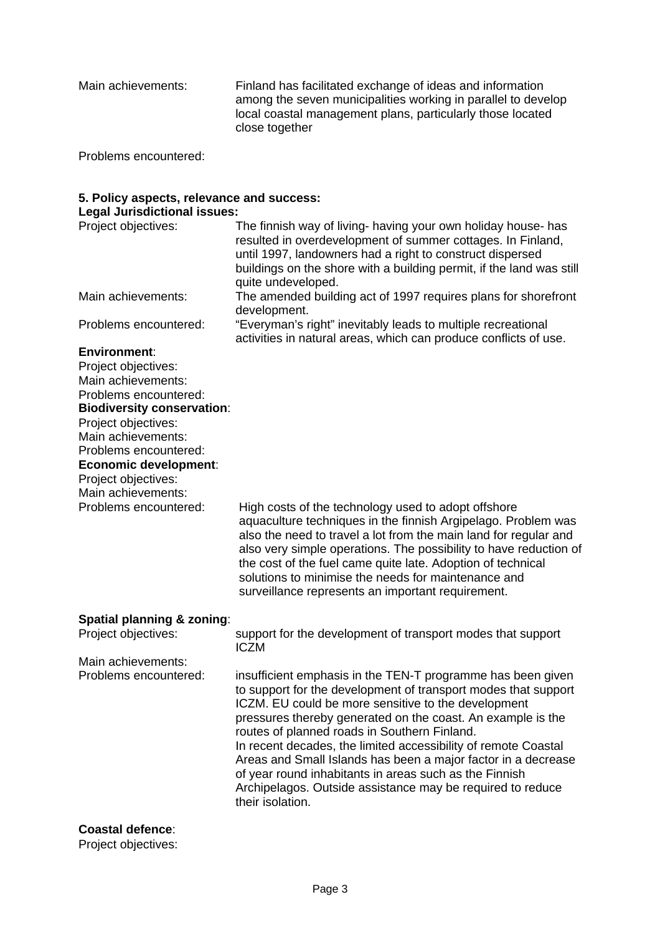Main achievements: Finland has facilitated exchange of ideas and information among the seven municipalities working in parallel to develop local coastal management plans, particularly those located close together

Problems encountered:

# **5. Policy aspects, relevance and success:**

**Legal Jurisdictional issues:**

| Project objectives:   | The finnish way of living- having your own holiday house- has<br>resulted in overdevelopment of summer cottages. In Finland,<br>until 1997, landowners had a right to construct dispersed<br>buildings on the shore with a building permit, if the land was still |
|-----------------------|-------------------------------------------------------------------------------------------------------------------------------------------------------------------------------------------------------------------------------------------------------------------|
|                       | quite undeveloped.                                                                                                                                                                                                                                                |
| Main achievements:    | The amended building act of 1997 requires plans for shorefront<br>development.                                                                                                                                                                                    |
| Problems encountered: | "Everyman's right" inevitably leads to multiple recreational<br>activities in natural areas, which can produce conflicts of use.                                                                                                                                  |
| Faction and state     |                                                                                                                                                                                                                                                                   |

#### **Environment**:

Project objectives: Main achievements: Problems encountered: **Biodiversity conservation**: Project objectives: Main achievements: Problems encountered: **Economic development**: Project objectives: Main achievements:<br>Problems encountered: High costs of the technology used to adopt offshore aquaculture techniques in the finnish Argipelago. Problem was also the need to travel a lot from the main land for regular and

also very simple operations. The possibility to have reduction of the cost of the fuel came quite late. Adoption of technical solutions to minimise the needs for maintenance and surveillance represents an important requirement.

| Spatial planning & zoning:<br>Project objectives: | support for the development of transport modes that support<br><b>ICZM</b>                                                                                                                                                                                                                                                                                                                                                                                                                                                                                                         |
|---------------------------------------------------|------------------------------------------------------------------------------------------------------------------------------------------------------------------------------------------------------------------------------------------------------------------------------------------------------------------------------------------------------------------------------------------------------------------------------------------------------------------------------------------------------------------------------------------------------------------------------------|
| Main achievements:                                |                                                                                                                                                                                                                                                                                                                                                                                                                                                                                                                                                                                    |
| Problems encountered:                             | insufficient emphasis in the TEN-T programme has been given<br>to support for the development of transport modes that support<br>ICZM. EU could be more sensitive to the development<br>pressures thereby generated on the coast. An example is the<br>routes of planned roads in Southern Finland.<br>In recent decades, the limited accessibility of remote Coastal<br>Areas and Small Islands has been a major factor in a decrease<br>of year round inhabitants in areas such as the Finnish<br>Archipelagos. Outside assistance may be required to reduce<br>their isolation. |

**Coastal defence**:

Project objectives: